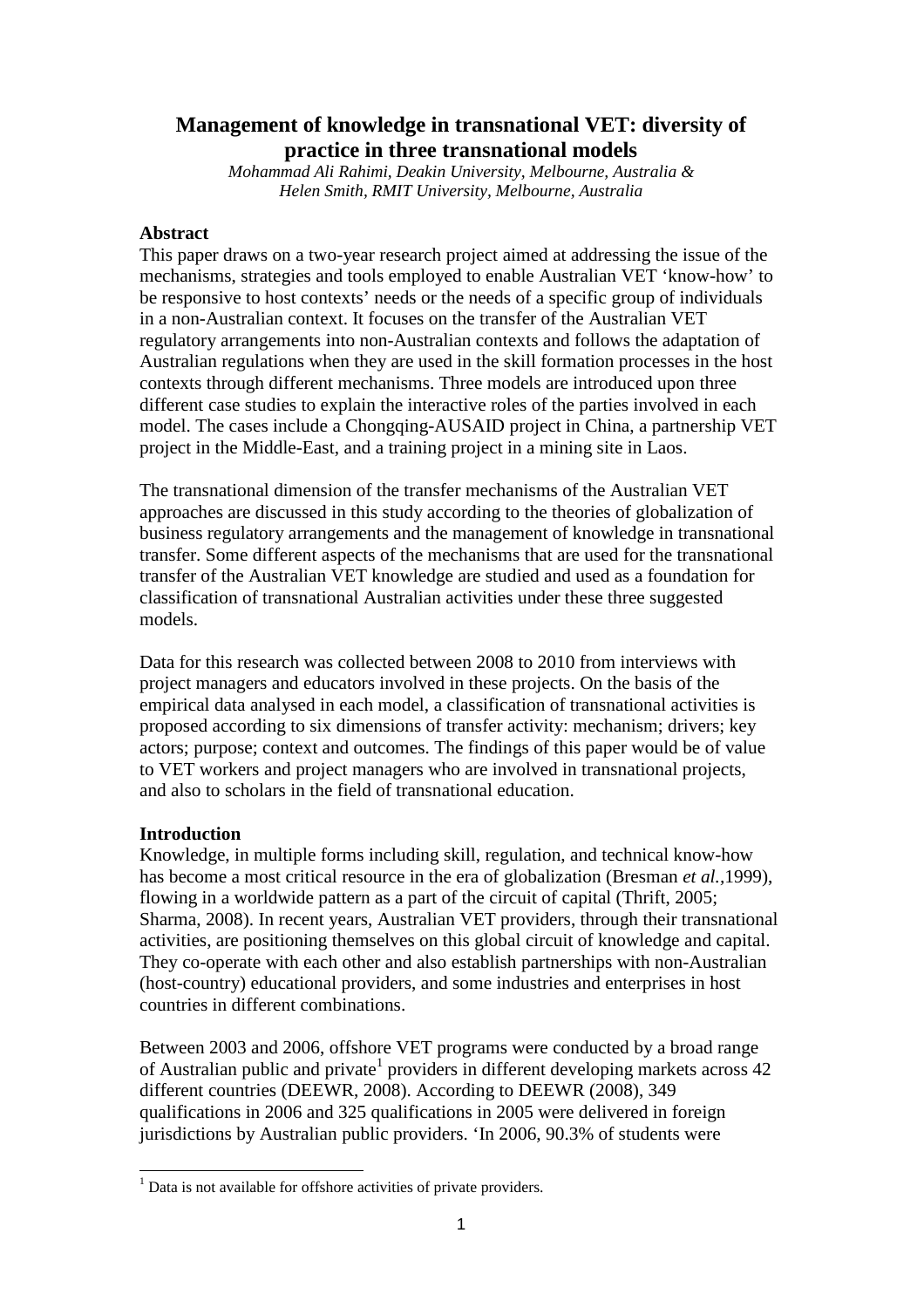# **Management of knowledge in transnational VET: diversity of practice in three transnational models**

*Mohammad Ali Rahimi, Deakin University, Melbourne, Australia & Helen Smith, RMIT University, Melbourne, Australia* 

### **Abstract**

This paper draws on a two-year research project aimed at addressing the issue of the mechanisms, strategies and tools employed to enable Australian VET 'know-how' to be responsive to host contexts' needs or the needs of a specific group of individuals in a non-Australian context. It focuses on the transfer of the Australian VET regulatory arrangements into non-Australian contexts and follows the adaptation of Australian regulations when they are used in the skill formation processes in the host contexts through different mechanisms. Three models are introduced upon three different case studies to explain the interactive roles of the parties involved in each model. The cases include a Chongqing-AUSAID project in China, a partnership VET project in the Middle-East, and a training project in a mining site in Laos.

The transnational dimension of the transfer mechanisms of the Australian VET approaches are discussed in this study according to the theories of globalization of business regulatory arrangements and the management of knowledge in transnational transfer. Some different aspects of the mechanisms that are used for the transnational transfer of the Australian VET knowledge are studied and used as a foundation for classification of transnational Australian activities under these three suggested models.

Data for this research was collected between 2008 to 2010 from interviews with project managers and educators involved in these projects. On the basis of the empirical data analysed in each model, a classification of transnational activities is proposed according to six dimensions of transfer activity: mechanism; drivers; key actors; purpose; context and outcomes. The findings of this paper would be of value to VET workers and project managers who are involved in transnational projects, and also to scholars in the field of transnational education.

## **Introduction**

Knowledge, in multiple forms including skill, regulation, and technical know-how has become a most critical resource in the era of globalization (Bresman *et al.,*1999), flowing in a worldwide pattern as a part of the circuit of capital (Thrift, 2005; Sharma, 2008). In recent years, Australian VET providers, through their transnational activities, are positioning themselves on this global circuit of knowledge and capital. They co-operate with each other and also establish partnerships with non-Australian (host-country) educational providers, and some industries and enterprises in host countries in different combinations.

Between 2003 and 2006, offshore VET programs were conducted by a broad range of Australian public and private<sup>1</sup> providers in different developing markets across 42 different countries (DEEWR, 2008). According to DEEWR (2008), 349 qualifications in 2006 and 325 qualifications in 2005 were delivered in foreign jurisdictions by Australian public providers. 'In 2006, 90.3% of students were

 $\overline{a}$ <sup>1</sup> Data is not available for offshore activities of private providers.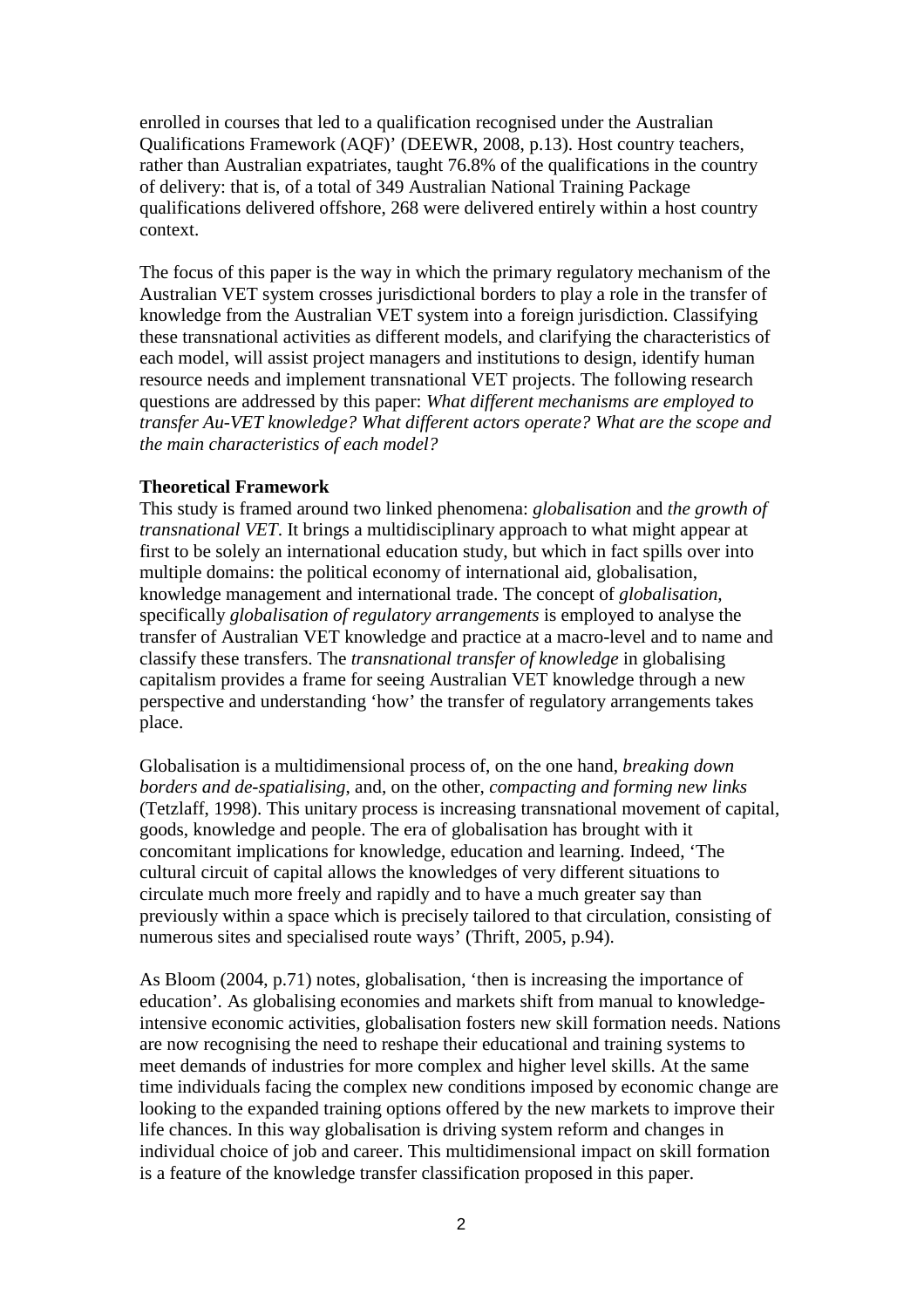enrolled in courses that led to a qualification recognised under the Australian Qualifications Framework (AQF)' (DEEWR, 2008, p.13). Host country teachers, rather than Australian expatriates, taught 76.8% of the qualifications in the country of delivery: that is, of a total of 349 Australian National Training Package qualifications delivered offshore, 268 were delivered entirely within a host country context.

The focus of this paper is the way in which the primary regulatory mechanism of the Australian VET system crosses jurisdictional borders to play a role in the transfer of knowledge from the Australian VET system into a foreign jurisdiction. Classifying these transnational activities as different models, and clarifying the characteristics of each model, will assist project managers and institutions to design, identify human resource needs and implement transnational VET projects. The following research questions are addressed by this paper: *What different mechanisms are employed to transfer Au-VET knowledge? What different actors operate? What are the scope and the main characteristics of each model?* 

### **Theoretical Framework**

This study is framed around two linked phenomena: *globalisation* and *the growth of transnational VET*. It brings a multidisciplinary approach to what might appear at first to be solely an international education study, but which in fact spills over into multiple domains: the political economy of international aid, globalisation, knowledge management and international trade. The concept of *globalisation,*  specifically *globalisation of regulatory arrangements* is employed to analyse the transfer of Australian VET knowledge and practice at a macro-level and to name and classify these transfers. The *transnational transfer of knowledge* in globalising capitalism provides a frame for seeing Australian VET knowledge through a new perspective and understanding 'how' the transfer of regulatory arrangements takes place.

Globalisation is a multidimensional process of, on the one hand, *breaking down borders and de-spatialising*, and, on the other, *compacting and forming new links* (Tetzlaff, 1998). This unitary process is increasing transnational movement of capital, goods, knowledge and people. The era of globalisation has brought with it concomitant implications for knowledge, education and learning. Indeed, 'The cultural circuit of capital allows the knowledges of very different situations to circulate much more freely and rapidly and to have a much greater say than previously within a space which is precisely tailored to that circulation, consisting of numerous sites and specialised route ways' (Thrift, 2005, p.94).

As Bloom (2004, p.71) notes, globalisation, 'then is increasing the importance of education'*.* As globalising economies and markets shift from manual to knowledgeintensive economic activities, globalisation fosters new skill formation needs. Nations are now recognising the need to reshape their educational and training systems to meet demands of industries for more complex and higher level skills. At the same time individuals facing the complex new conditions imposed by economic change are looking to the expanded training options offered by the new markets to improve their life chances. In this way globalisation is driving system reform and changes in individual choice of job and career. This multidimensional impact on skill formation is a feature of the knowledge transfer classification proposed in this paper.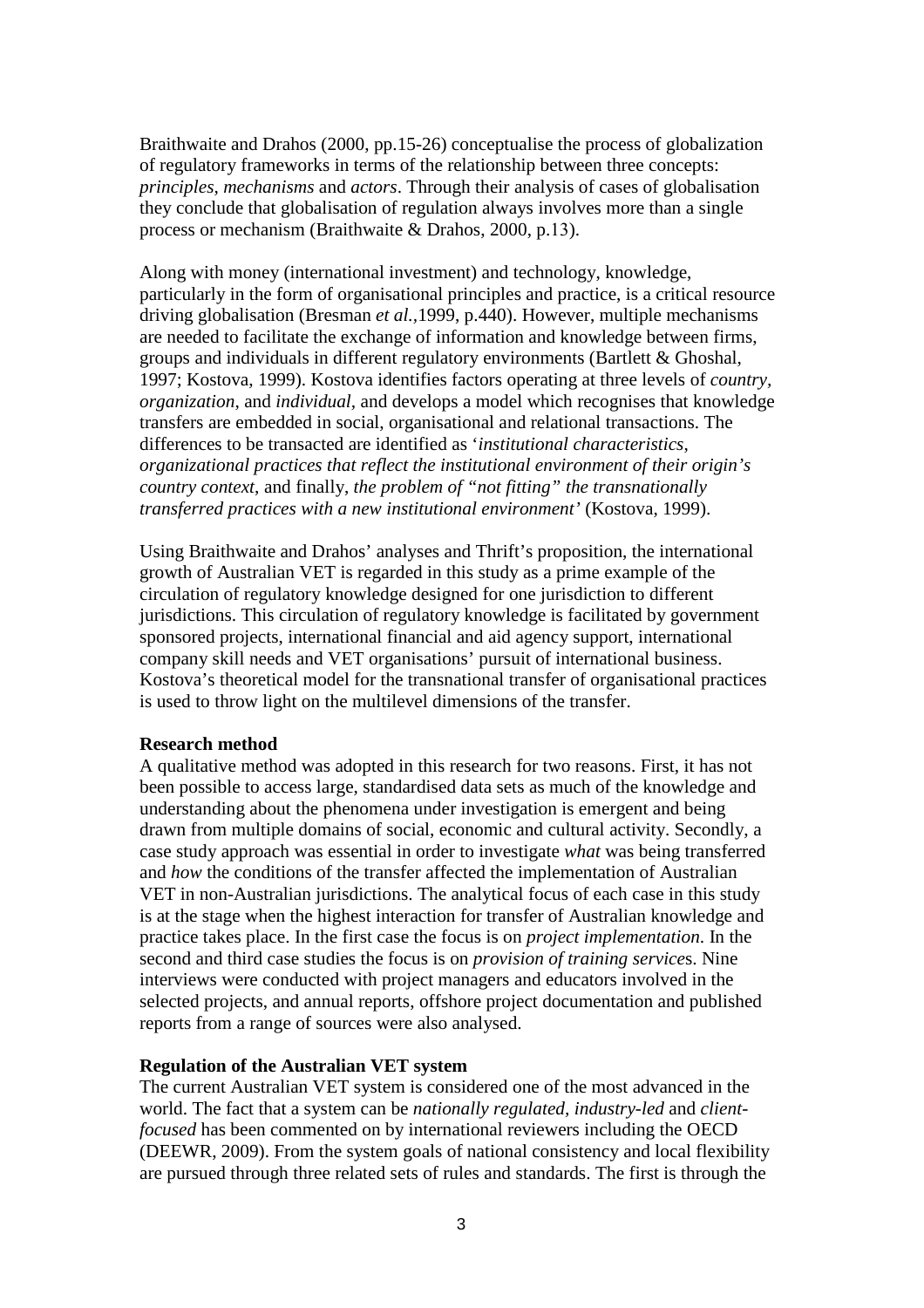Braithwaite and Drahos (2000, pp.15-26) conceptualise the process of globalization of regulatory frameworks in terms of the relationship between three concepts: *principles*, *mechanisms* and *actors*. Through their analysis of cases of globalisation they conclude that globalisation of regulation always involves more than a single process or mechanism (Braithwaite & Drahos, 2000, p.13).

Along with money (international investment) and technology, knowledge, particularly in the form of organisational principles and practice, is a critical resource driving globalisation (Bresman *et al.,*1999, p.440). However, multiple mechanisms are needed to facilitate the exchange of information and knowledge between firms, groups and individuals in different regulatory environments (Bartlett & Ghoshal, 1997; Kostova, 1999). Kostova identifies factors operating at three levels of *country, organization*, and *individual,* and develops a model which recognises that knowledge transfers are embedded in social, organisational and relational transactions. The differences to be transacted are identified as '*institutional characteristics*, *organizational practices that reflect the institutional environment of their origin's country context*, and finally, *the problem of "not fitting" the transnationally transferred practices with a new institutional environment'* (Kostova, 1999).

Using Braithwaite and Drahos' analyses and Thrift's proposition, the international growth of Australian VET is regarded in this study as a prime example of the circulation of regulatory knowledge designed for one jurisdiction to different jurisdictions. This circulation of regulatory knowledge is facilitated by government sponsored projects, international financial and aid agency support, international company skill needs and VET organisations' pursuit of international business. Kostova's theoretical model for the transnational transfer of organisational practices is used to throw light on the multilevel dimensions of the transfer.

#### **Research method**

A qualitative method was adopted in this research for two reasons. First, it has not been possible to access large, standardised data sets as much of the knowledge and understanding about the phenomena under investigation is emergent and being drawn from multiple domains of social, economic and cultural activity. Secondly, a case study approach was essential in order to investigate *what* was being transferred and *how* the conditions of the transfer affected the implementation of Australian VET in non-Australian jurisdictions. The analytical focus of each case in this study is at the stage when the highest interaction for transfer of Australian knowledge and practice takes place. In the first case the focus is on *project implementation*. In the second and third case studies the focus is on *provision of training service*s. Nine interviews were conducted with project managers and educators involved in the selected projects, and annual reports, offshore project documentation and published reports from a range of sources were also analysed.

#### **Regulation of the Australian VET system**

The current Australian VET system is considered one of the most advanced in the world. The fact that a system can be *nationally regulated, industry-led* and *clientfocused* has been commented on by international reviewers including the OECD (DEEWR, 2009). From the system goals of national consistency and local flexibility are pursued through three related sets of rules and standards. The first is through the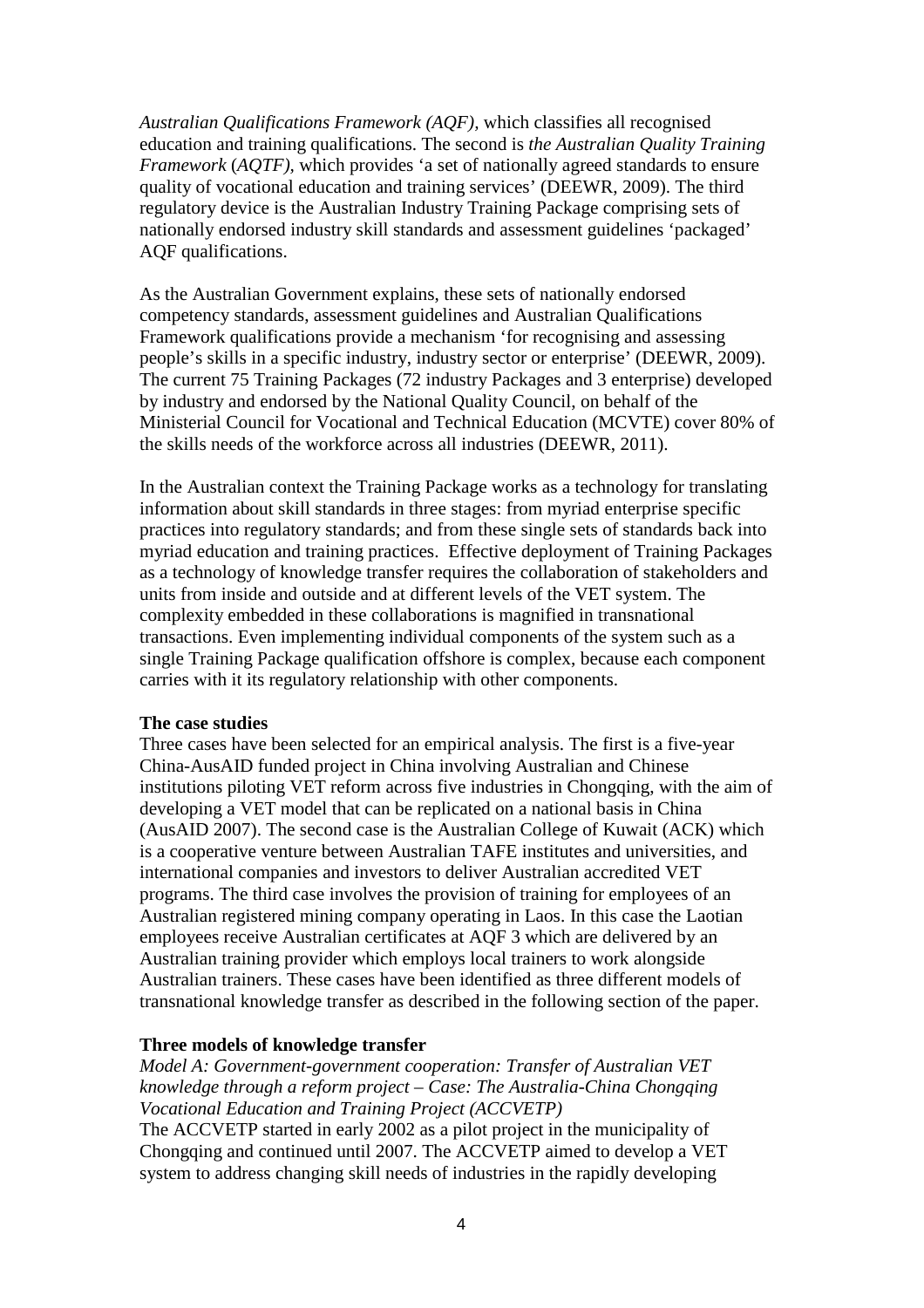*Australian Qualifications Framework (AQF),* which classifies all recognised education and training qualifications. The second is *the Australian Quality Training Framework* (*AQTF),* which provides 'a set of nationally agreed standards to ensure quality of vocational education and training services' (DEEWR, 2009). The third regulatory device is the Australian Industry Training Package comprising sets of nationally endorsed industry skill standards and assessment guidelines 'packaged' AQF qualifications.

As the Australian Government explains, these sets of nationally endorsed competency standards, assessment guidelines and Australian Qualifications Framework qualifications provide a mechanism 'for recognising and assessing people's skills in a specific industry, industry sector or enterprise' (DEEWR, 2009). The current 75 Training Packages (72 industry Packages and 3 enterprise) developed by industry and endorsed by the National Quality Council, on behalf of the Ministerial Council for Vocational and Technical Education (MCVTE) cover 80% of the skills needs of the workforce across all industries (DEEWR, 2011).

In the Australian context the Training Package works as a technology for translating information about skill standards in three stages: from myriad enterprise specific practices into regulatory standards; and from these single sets of standards back into myriad education and training practices. Effective deployment of Training Packages as a technology of knowledge transfer requires the collaboration of stakeholders and units from inside and outside and at different levels of the VET system. The complexity embedded in these collaborations is magnified in transnational transactions. Even implementing individual components of the system such as a single Training Package qualification offshore is complex, because each component carries with it its regulatory relationship with other components.

#### **The case studies**

Three cases have been selected for an empirical analysis. The first is a five-year China-AusAID funded project in China involving Australian and Chinese institutions piloting VET reform across five industries in Chongqing, with the aim of developing a VET model that can be replicated on a national basis in China (AusAID 2007). The second case is the Australian College of Kuwait (ACK) which is a cooperative venture between Australian TAFE institutes and universities, and international companies and investors to deliver Australian accredited VET programs. The third case involves the provision of training for employees of an Australian registered mining company operating in Laos. In this case the Laotian employees receive Australian certificates at AQF 3 which are delivered by an Australian training provider which employs local trainers to work alongside Australian trainers. These cases have been identified as three different models of transnational knowledge transfer as described in the following section of the paper.

### **Three models of knowledge transfer**

*Model A: Government-government cooperation: Transfer of Australian VET knowledge through a reform project – Case: The Australia-China Chongqing Vocational Education and Training Project (ACCVETP)*

The ACCVETP started in early 2002 as a pilot project in the municipality of Chongqing and continued until 2007. The ACCVETP aimed to develop a VET system to address changing skill needs of industries in the rapidly developing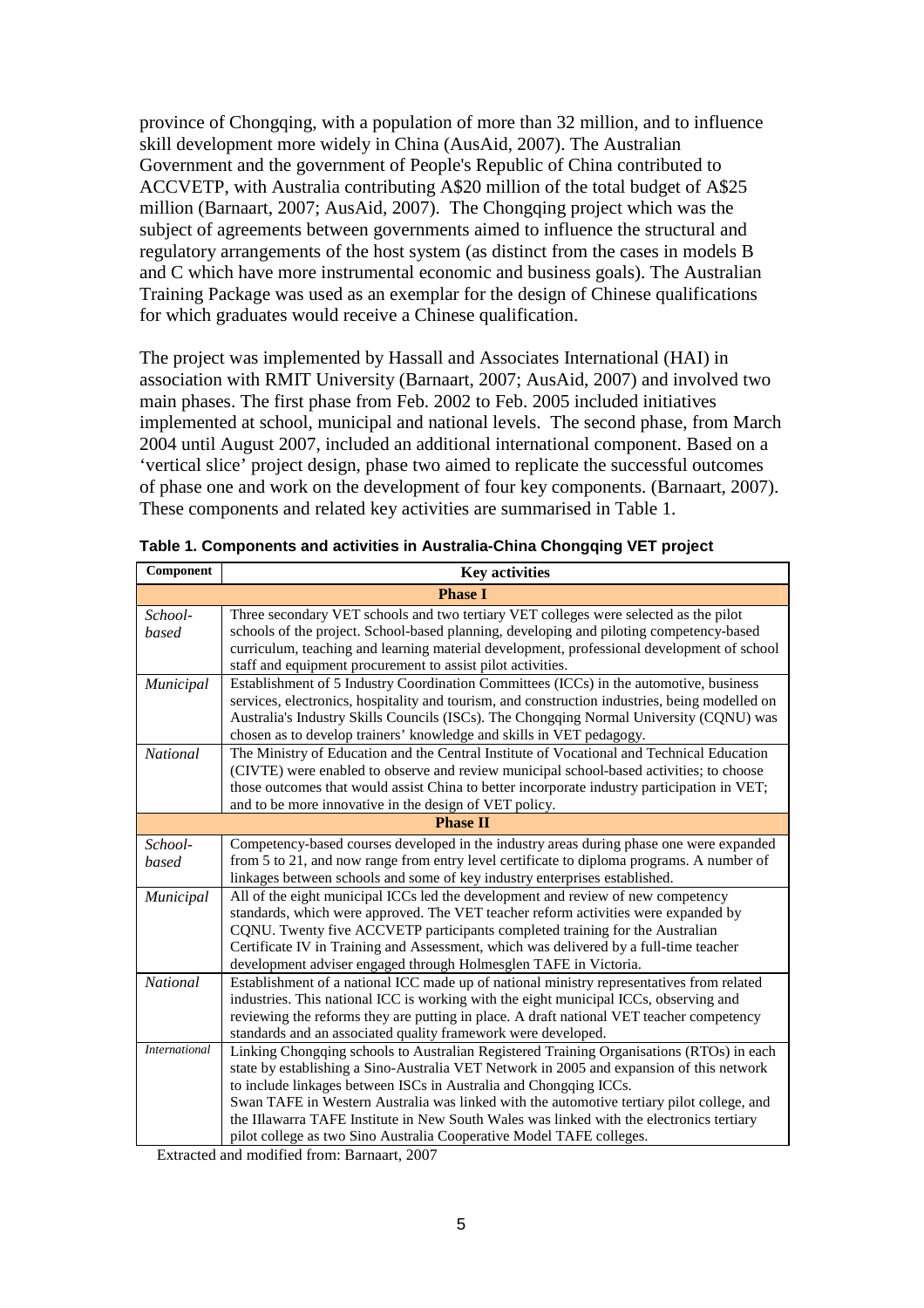province of Chongqing, with a population of more than 32 million, and to influence skill development more widely in China (AusAid, 2007). The Australian Government and the government of People's Republic of China contributed to ACCVETP, with Australia contributing A\$20 million of the total budget of A\$25 million (Barnaart, 2007; AusAid, 2007). The Chongqing project which was the subject of agreements between governments aimed to influence the structural and regulatory arrangements of the host system (as distinct from the cases in models B and C which have more instrumental economic and business goals). The Australian Training Package was used as an exemplar for the design of Chinese qualifications for which graduates would receive a Chinese qualification.

The project was implemented by Hassall and Associates International (HAI) in association with RMIT University (Barnaart, 2007; AusAid, 2007) and involved two main phases. The first phase from Feb. 2002 to Feb. 2005 included initiatives implemented at school, municipal and national levels. The second phase, from March 2004 until August 2007, included an additional international component. Based on a 'vertical slice' project design, phase two aimed to replicate the successful outcomes of phase one and work on the development of four key components. (Barnaart, 2007). These components and related key activities are summarised in Table 1.

| <b>Component</b>     | <b>Key activities</b>                                                                                                                                                                                                                                                                                                                                                                                                                                                                                                      |  |  |
|----------------------|----------------------------------------------------------------------------------------------------------------------------------------------------------------------------------------------------------------------------------------------------------------------------------------------------------------------------------------------------------------------------------------------------------------------------------------------------------------------------------------------------------------------------|--|--|
| <b>Phase I</b>       |                                                                                                                                                                                                                                                                                                                                                                                                                                                                                                                            |  |  |
| School-<br>based     | Three secondary VET schools and two tertiary VET colleges were selected as the pilot<br>schools of the project. School-based planning, developing and piloting competency-based<br>curriculum, teaching and learning material development, professional development of school<br>staff and equipment procurement to assist pilot activities.                                                                                                                                                                               |  |  |
| Municipal            | Establishment of 5 Industry Coordination Committees (ICCs) in the automotive, business<br>services, electronics, hospitality and tourism, and construction industries, being modelled on<br>Australia's Industry Skills Councils (ISCs). The Chongqing Normal University (CQNU) was<br>chosen as to develop trainers' knowledge and skills in VET pedagogy.                                                                                                                                                                |  |  |
| <b>National</b>      | The Ministry of Education and the Central Institute of Vocational and Technical Education<br>(CIVTE) were enabled to observe and review municipal school-based activities; to choose<br>those outcomes that would assist China to better incorporate industry participation in VET;<br>and to be more innovative in the design of VET policy.                                                                                                                                                                              |  |  |
|                      | <b>Phase II</b>                                                                                                                                                                                                                                                                                                                                                                                                                                                                                                            |  |  |
| School-<br>based     | Competency-based courses developed in the industry areas during phase one were expanded<br>from 5 to 21, and now range from entry level certificate to diploma programs. A number of<br>linkages between schools and some of key industry enterprises established.                                                                                                                                                                                                                                                         |  |  |
| Municipal            | All of the eight municipal ICCs led the development and review of new competency<br>standards, which were approved. The VET teacher reform activities were expanded by<br>CQNU. Twenty five ACCVETP participants completed training for the Australian<br>Certificate IV in Training and Assessment, which was delivered by a full-time teacher<br>development adviser engaged through Holmesglen TAFE in Victoria.                                                                                                        |  |  |
| <b>National</b>      | Establishment of a national ICC made up of national ministry representatives from related<br>industries. This national ICC is working with the eight municipal ICCs, observing and<br>reviewing the reforms they are putting in place. A draft national VET teacher competency<br>standards and an associated quality framework were developed.                                                                                                                                                                            |  |  |
| <b>International</b> | Linking Chongqing schools to Australian Registered Training Organisations (RTOs) in each<br>state by establishing a Sino-Australia VET Network in 2005 and expansion of this network<br>to include linkages between ISCs in Australia and Chongqing ICCs.<br>Swan TAFE in Western Australia was linked with the automotive tertiary pilot college, and<br>the IIIawarra TAFE Institute in New South Wales was linked with the electronics tertiary<br>pilot college as two Sino Australia Cooperative Model TAFE colleges. |  |  |

**Table 1. Components and activities in Australia-China Chongqing VET project** 

Extracted and modified from: Barnaart, 2007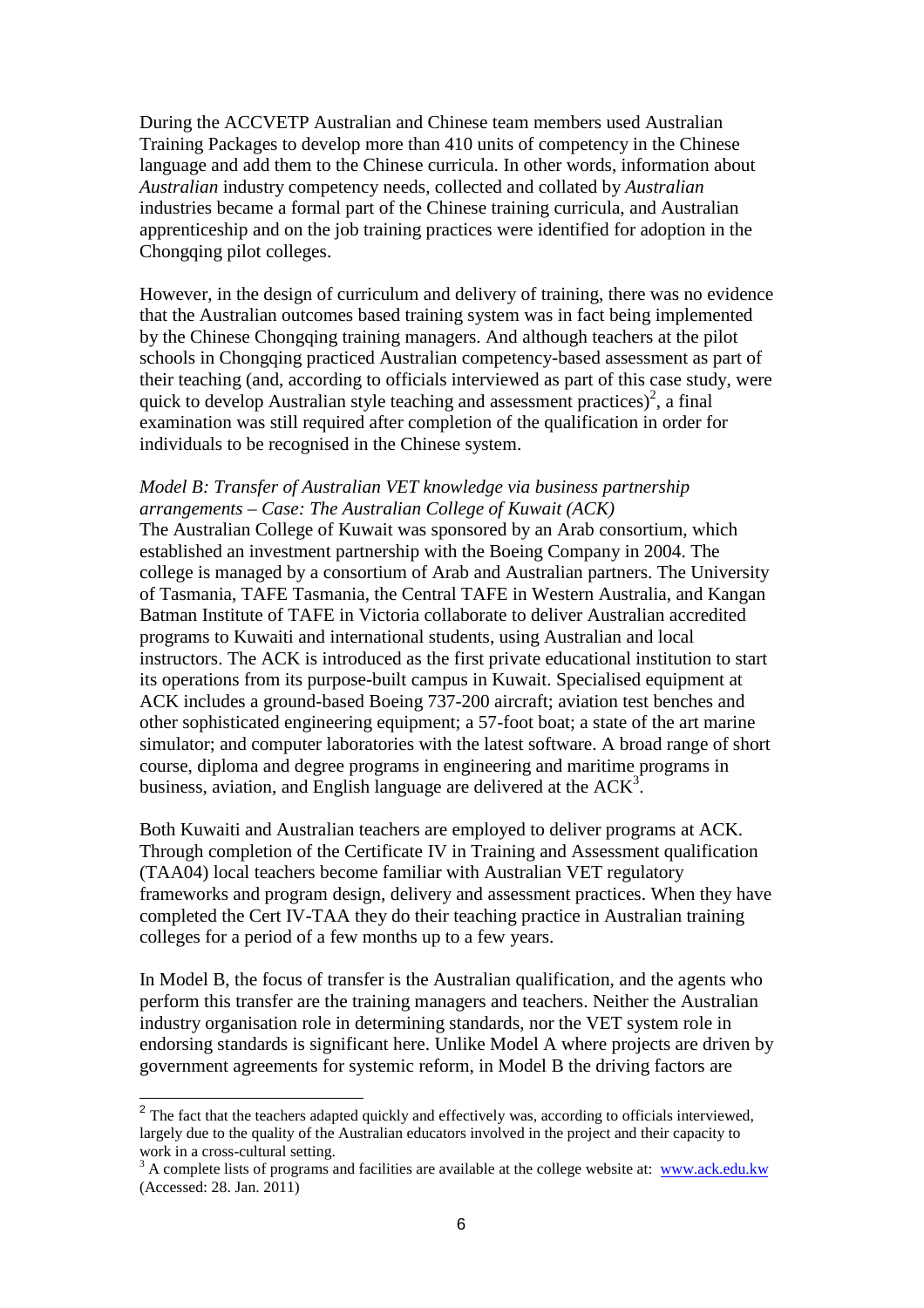During the ACCVETP Australian and Chinese team members used Australian Training Packages to develop more than 410 units of competency in the Chinese language and add them to the Chinese curricula. In other words, information about *Australian* industry competency needs, collected and collated by *Australian* industries became a formal part of the Chinese training curricula, and Australian apprenticeship and on the job training practices were identified for adoption in the Chongqing pilot colleges.

However, in the design of curriculum and delivery of training, there was no evidence that the Australian outcomes based training system was in fact being implemented by the Chinese Chongqing training managers. And although teachers at the pilot schools in Chongqing practiced Australian competency-based assessment as part of their teaching (and, according to officials interviewed as part of this case study, were quick to develop Australian style teaching and assessment practices)<sup>2</sup>, a final examination was still required after completion of the qualification in order for individuals to be recognised in the Chinese system.

### *Model B: Transfer of Australian VET knowledge via business partnership arrangements – Case: The Australian College of Kuwait (ACK)*

The Australian College of Kuwait was sponsored by an Arab consortium, which established an investment partnership with the Boeing Company in 2004. The college is managed by a consortium of Arab and Australian partners. The University of Tasmania, TAFE Tasmania, the Central TAFE in Western Australia, and Kangan Batman Institute of TAFE in Victoria collaborate to deliver Australian accredited programs to Kuwaiti and international students, using Australian and local instructors. The ACK is introduced as the first private educational institution to start its operations from its purpose-built campus in Kuwait. Specialised equipment at ACK includes a ground-based Boeing 737-200 aircraft; aviation test benches and other sophisticated engineering equipment; a 57-foot boat; a state of the art marine simulator; and computer laboratories with the latest software. A broad range of short course, diploma and degree programs in engineering and maritime programs in business, aviation, and English language are delivered at the  $ACK<sup>3</sup>$ .

Both Kuwaiti and Australian teachers are employed to deliver programs at ACK. Through completion of the Certificate IV in Training and Assessment qualification (TAA04) local teachers become familiar with Australian VET regulatory frameworks and program design, delivery and assessment practices. When they have completed the Cert IV-TAA they do their teaching practice in Australian training colleges for a period of a few months up to a few years.

In Model B, the focus of transfer is the Australian qualification, and the agents who perform this transfer are the training managers and teachers. Neither the Australian industry organisation role in determining standards, nor the VET system role in endorsing standards is significant here. Unlike Model A where projects are driven by government agreements for systemic reform, in Model B the driving factors are

<sup>&</sup>lt;sup>2</sup> The fact that the teachers adapted quickly and effectively was, according to officials interviewed, largely due to the quality of the Australian educators involved in the project and their capacity to work in a cross-cultural setting.

<sup>&</sup>lt;sup>3</sup> A complete lists of programs and facilities are available at the college website at: www.ack.edu.kw (Accessed: 28. Jan. 2011)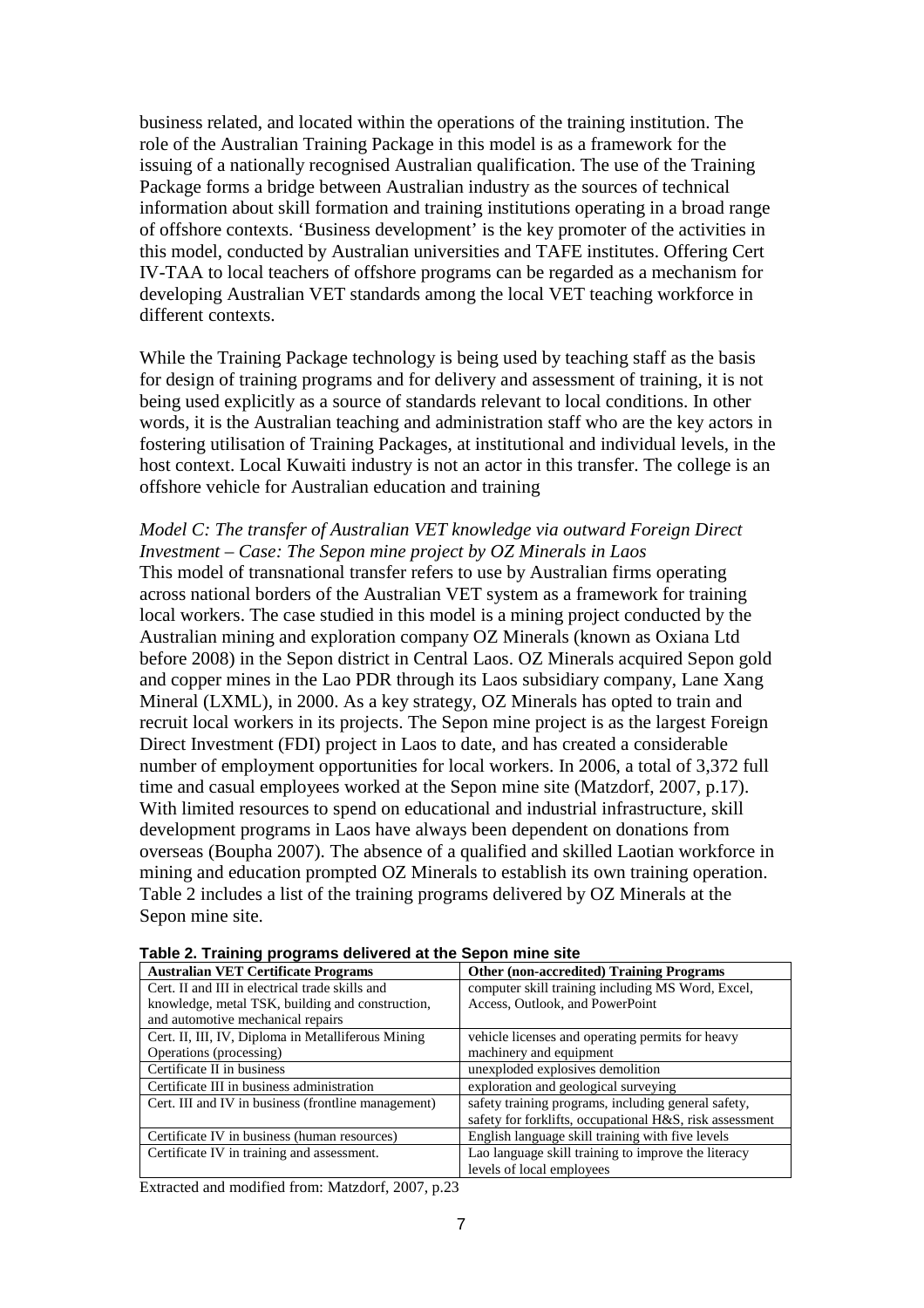business related, and located within the operations of the training institution. The role of the Australian Training Package in this model is as a framework for the issuing of a nationally recognised Australian qualification. The use of the Training Package forms a bridge between Australian industry as the sources of technical information about skill formation and training institutions operating in a broad range of offshore contexts. 'Business development' is the key promoter of the activities in this model, conducted by Australian universities and TAFE institutes. Offering Cert IV-TAA to local teachers of offshore programs can be regarded as a mechanism for developing Australian VET standards among the local VET teaching workforce in different contexts.

While the Training Package technology is being used by teaching staff as the basis for design of training programs and for delivery and assessment of training, it is not being used explicitly as a source of standards relevant to local conditions. In other words, it is the Australian teaching and administration staff who are the key actors in fostering utilisation of Training Packages, at institutional and individual levels, in the host context. Local Kuwaiti industry is not an actor in this transfer. The college is an offshore vehicle for Australian education and training

### *Model C: The transfer of Australian VET knowledge via outward Foreign Direct Investment – Case: The Sepon mine project by OZ Minerals in Laos*

This model of transnational transfer refers to use by Australian firms operating across national borders of the Australian VET system as a framework for training local workers. The case studied in this model is a mining project conducted by the Australian mining and exploration company OZ Minerals (known as Oxiana Ltd before 2008) in the Sepon district in Central Laos. OZ Minerals acquired Sepon gold and copper mines in the Lao PDR through its Laos subsidiary company, Lane Xang Mineral (LXML), in 2000. As a key strategy, OZ Minerals has opted to train and recruit local workers in its projects. The Sepon mine project is as the largest Foreign Direct Investment (FDI) project in Laos to date, and has created a considerable number of employment opportunities for local workers. In 2006, a total of 3,372 full time and casual employees worked at the Sepon mine site (Matzdorf, 2007, p.17). With limited resources to spend on educational and industrial infrastructure, skill development programs in Laos have always been dependent on donations from overseas (Boupha 2007). The absence of a qualified and skilled Laotian workforce in mining and education prompted OZ Minerals to establish its own training operation. Table 2 includes a list of the training programs delivered by OZ Minerals at the Sepon mine site.

| <b>Australian VET Certificate Programs</b>          | <b>Other (non-accredited) Training Programs</b>         |  |
|-----------------------------------------------------|---------------------------------------------------------|--|
| Cert. II and III in electrical trade skills and     | computer skill training including MS Word, Excel,       |  |
| knowledge, metal TSK, building and construction,    | Access, Outlook, and PowerPoint                         |  |
| and automotive mechanical repairs                   |                                                         |  |
| Cert. II, III, IV, Diploma in Metalliferous Mining  | vehicle licenses and operating permits for heavy        |  |
| Operations (processing)                             | machinery and equipment                                 |  |
| Certificate II in business                          | unexploded explosives demolition                        |  |
| Certificate III in business administration          | exploration and geological surveying                    |  |
| Cert. III and IV in business (frontline management) | safety training programs, including general safety,     |  |
|                                                     | safety for forklifts, occupational H&S, risk assessment |  |
| Certificate IV in business (human resources)        | English language skill training with five levels        |  |
| Certificate IV in training and assessment.          | Lao language skill training to improve the literacy     |  |
|                                                     | levels of local employees                               |  |

**Table 2. Training programs delivered at the Sepon mine site** 

Extracted and modified from: Matzdorf, 2007, p.23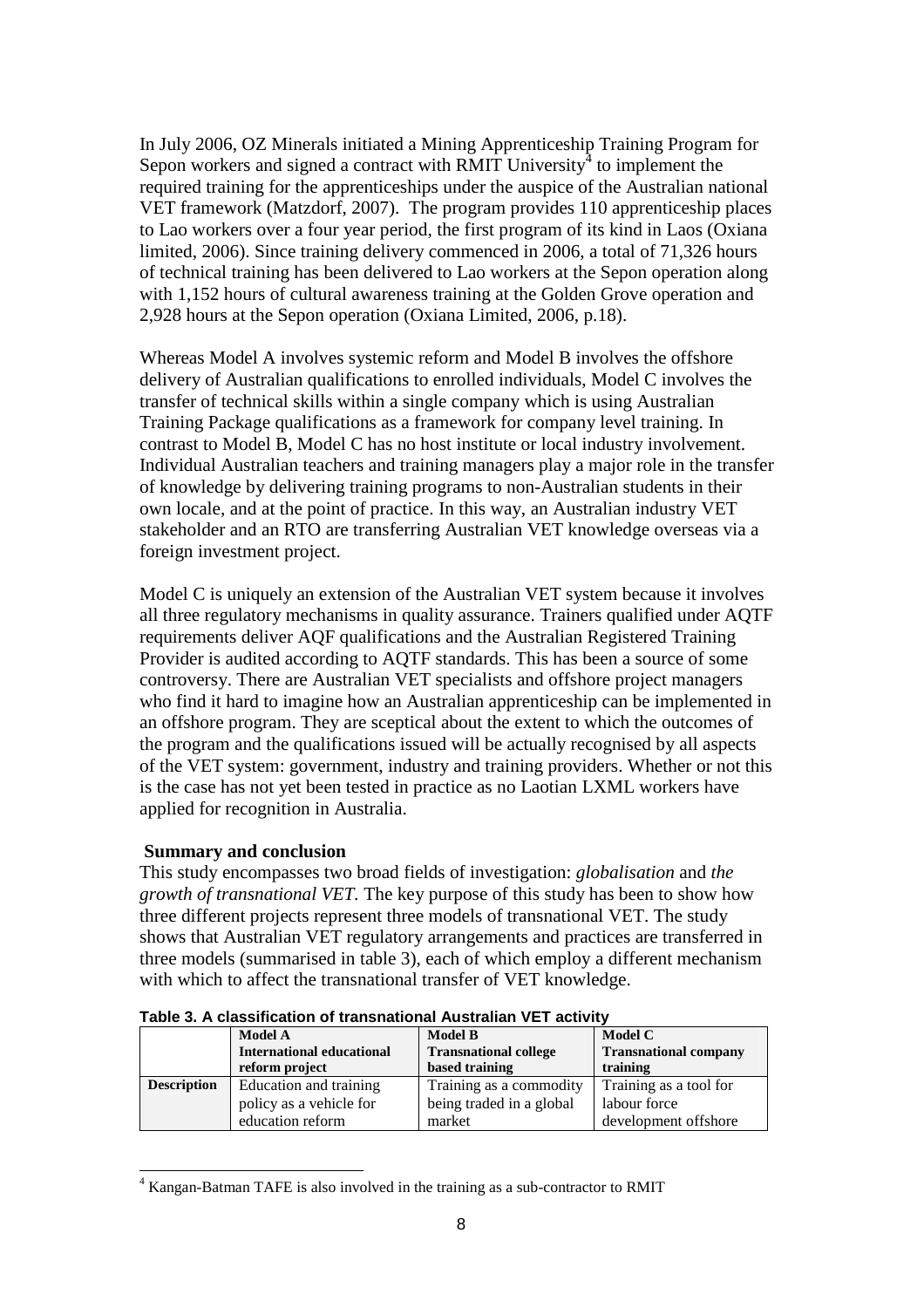In July 2006, OZ Minerals initiated a Mining Apprenticeship Training Program for Sepon workers and signed a contract with RMIT University<sup>4</sup> to implement the required training for the apprenticeships under the auspice of the Australian national VET framework (Matzdorf, 2007). The program provides 110 apprenticeship places to Lao workers over a four year period, the first program of its kind in Laos (Oxiana limited, 2006). Since training delivery commenced in 2006, a total of 71,326 hours of technical training has been delivered to Lao workers at the Sepon operation along with 1,152 hours of cultural awareness training at the Golden Grove operation and 2,928 hours at the Sepon operation (Oxiana Limited, 2006, p.18).

Whereas Model A involves systemic reform and Model B involves the offshore delivery of Australian qualifications to enrolled individuals, Model C involves the transfer of technical skills within a single company which is using Australian Training Package qualifications as a framework for company level training. In contrast to Model B, Model C has no host institute or local industry involvement. Individual Australian teachers and training managers play a major role in the transfer of knowledge by delivering training programs to non-Australian students in their own locale, and at the point of practice. In this way, an Australian industry VET stakeholder and an RTO are transferring Australian VET knowledge overseas via a foreign investment project.

Model C is uniquely an extension of the Australian VET system because it involves all three regulatory mechanisms in quality assurance. Trainers qualified under AQTF requirements deliver AQF qualifications and the Australian Registered Training Provider is audited according to AQTF standards. This has been a source of some controversy. There are Australian VET specialists and offshore project managers who find it hard to imagine how an Australian apprenticeship can be implemented in an offshore program. They are sceptical about the extent to which the outcomes of the program and the qualifications issued will be actually recognised by all aspects of the VET system: government, industry and training providers. Whether or not this is the case has not yet been tested in practice as no Laotian LXML workers have applied for recognition in Australia.

### **Summary and conclusion**

 $\overline{a}$ 

This study encompasses two broad fields of investigation: *globalisation* and *the growth of transnational VET.* The key purpose of this study has been to show how three different projects represent three models of transnational VET. The study shows that Australian VET regulatory arrangements and practices are transferred in three models (summarised in table 3), each of which employ a different mechanism with which to affect the transnational transfer of VET knowledge.

| Table 5. A Glassification of transflational Australian VET activity |                                  |                              |                              |  |
|---------------------------------------------------------------------|----------------------------------|------------------------------|------------------------------|--|
|                                                                     | <b>Model A</b>                   | <b>Model B</b>               | <b>Model C</b>               |  |
|                                                                     | <b>International educational</b> | <b>Transnational college</b> | <b>Transnational company</b> |  |
|                                                                     | reform project                   | based training               | training                     |  |
| <b>Description</b>                                                  | Education and training           | Training as a commodity      | Training as a tool for       |  |
|                                                                     | policy as a vehicle for          | being traded in a global     | labour force                 |  |
|                                                                     | education reform                 | market                       | development offshore         |  |

|  | Table 3. A classification of transnational Australian VET activity |  |
|--|--------------------------------------------------------------------|--|
|  |                                                                    |  |

<sup>&</sup>lt;sup>4</sup> Kangan-Batman TAFE is also involved in the training as a sub-contractor to RMIT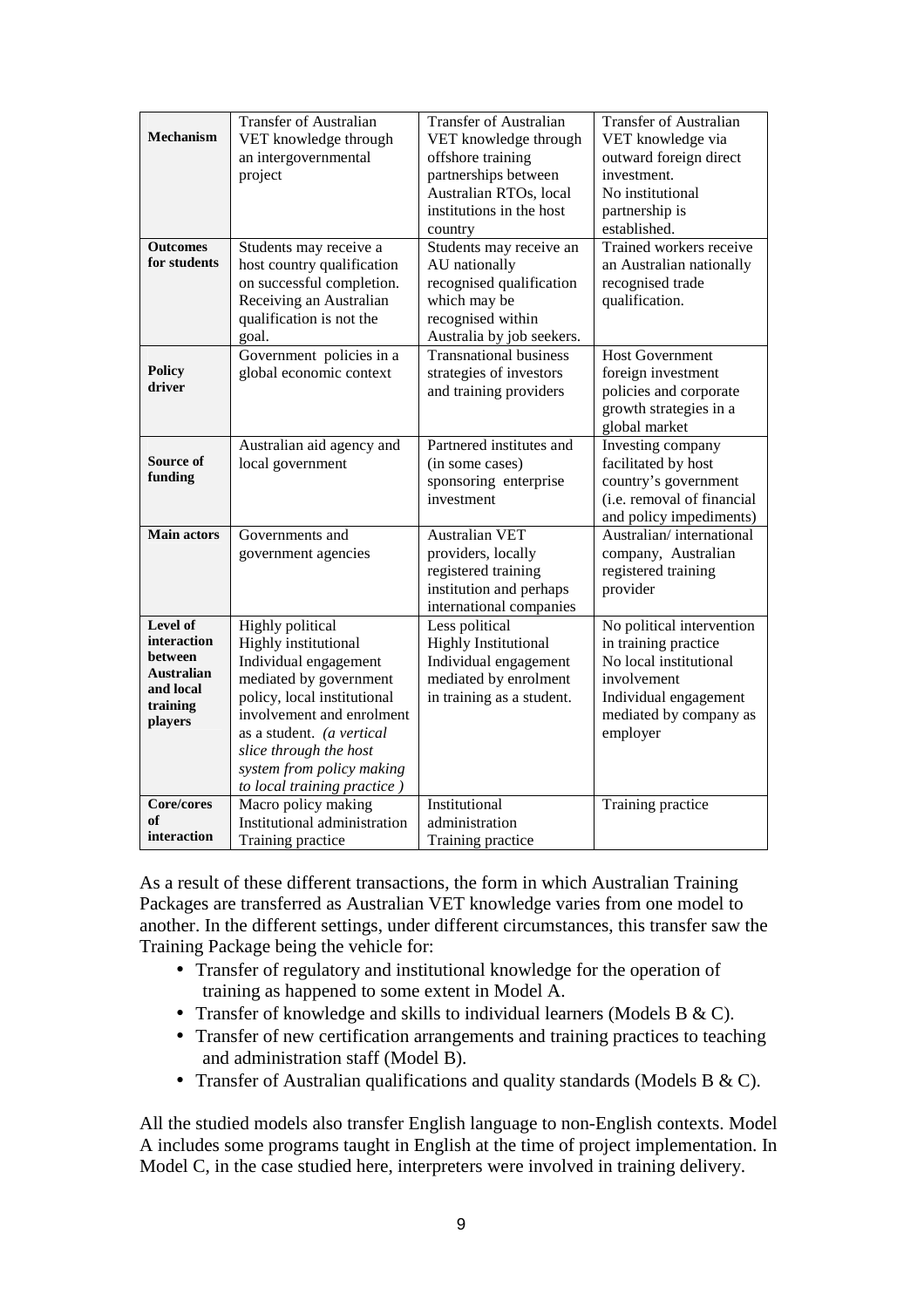|                    | <b>Transfer of Australian</b>                      | <b>Transfer of Australian</b> | <b>Transfer of Australian</b> |
|--------------------|----------------------------------------------------|-------------------------------|-------------------------------|
| <b>Mechanism</b>   | VET knowledge through                              | VET knowledge through         | VET knowledge via             |
|                    | an intergovernmental                               | offshore training             | outward foreign direct        |
|                    | project                                            | partnerships between          | investment.                   |
|                    |                                                    | Australian RTOs, local        | No institutional              |
|                    |                                                    | institutions in the host      | partnership is                |
|                    |                                                    | country                       | established.                  |
| <b>Outcomes</b>    | Students may receive a                             | Students may receive an       | Trained workers receive       |
| for students       | host country qualification                         | AU nationally                 | an Australian nationally      |
|                    | on successful completion.                          | recognised qualification      | recognised trade              |
|                    | Receiving an Australian                            | which may be                  | qualification.                |
|                    | qualification is not the                           | recognised within             |                               |
|                    | goal.                                              | Australia by job seekers.     |                               |
|                    | Government policies in a                           | <b>Transnational business</b> | <b>Host Government</b>        |
| <b>Policy</b>      | global economic context                            | strategies of investors       | foreign investment            |
| driver             |                                                    | and training providers        | policies and corporate        |
|                    |                                                    |                               | growth strategies in a        |
|                    |                                                    |                               | global market                 |
|                    | Australian aid agency and                          | Partnered institutes and      | <b>Investing company</b>      |
| Source of          | local government                                   | (in some cases)               | facilitated by host           |
| funding            |                                                    | sponsoring enterprise         | country's government          |
|                    |                                                    | investment                    | (i.e. removal of financial    |
|                    |                                                    |                               | and policy impediments)       |
| <b>Main</b> actors | Governments and                                    | Australian VET                | Australian/international      |
|                    | government agencies                                | providers, locally            | company, Australian           |
|                    |                                                    | registered training           | registered training           |
|                    |                                                    | institution and perhaps       | provider                      |
|                    |                                                    | international companies       |                               |
| Level of           | Highly political                                   | Less political                | No political intervention     |
| interaction        | Highly institutional                               | <b>Highly Institutional</b>   | in training practice          |
| between            | Individual engagement                              | Individual engagement         | No local institutional        |
| Australian         | mediated by government                             | mediated by enrolment         | involvement                   |
| and local          | policy, local institutional                        | in training as a student.     | Individual engagement         |
| training           | involvement and enrolment                          |                               | mediated by company as        |
| players            | as a student. (a vertical                          |                               | employer                      |
|                    | slice through the host                             |                               |                               |
|                    | system from policy making                          |                               |                               |
|                    |                                                    |                               |                               |
| Core/cores         | to local training practice)<br>Macro policy making | Institutional                 |                               |
| of                 | Institutional administration                       |                               | Training practice             |
| interaction        |                                                    | administration                |                               |
|                    | Training practice                                  | Training practice             |                               |

As a result of these different transactions, the form in which Australian Training Packages are transferred as Australian VET knowledge varies from one model to another. In the different settings, under different circumstances, this transfer saw the Training Package being the vehicle for:

- Transfer of regulatory and institutional knowledge for the operation of training as happened to some extent in Model A.
- Transfer of knowledge and skills to individual learners (Models B & C).
- Transfer of new certification arrangements and training practices to teaching and administration staff (Model B).
- Transfer of Australian qualifications and quality standards (Models B & C).

All the studied models also transfer English language to non-English contexts. Model A includes some programs taught in English at the time of project implementation. In Model C, in the case studied here, interpreters were involved in training delivery.